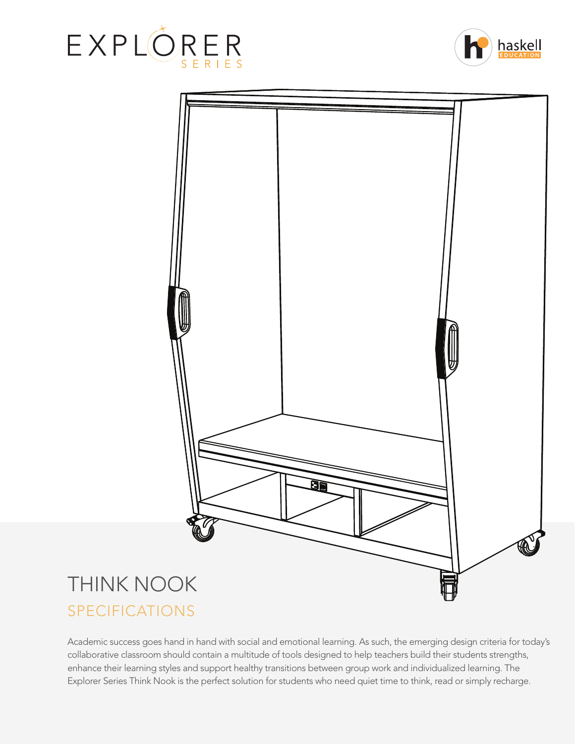





Academic success goes hand in hand with social and emotional learning. As such, the emerging design criteria for today's collaborative classroom should contain a multitude of tools designed to help teachers build their students strengths, enhance their learning styles and support healthy transitions between group work and individualized learning. The Explorer Series Think Nook is the perfect solution for students who need quiet time to think, read or simply recharge.